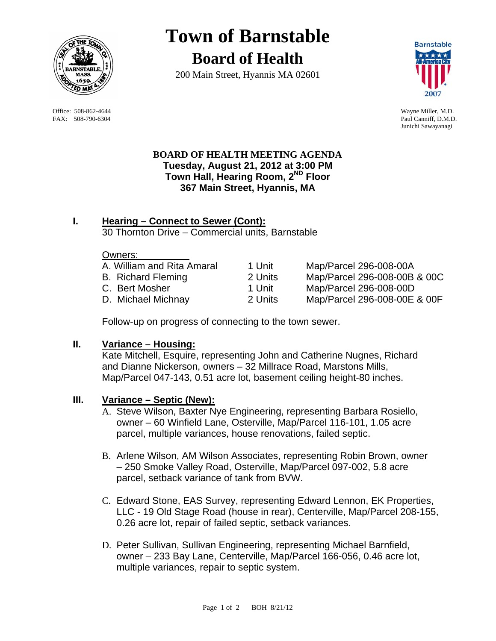

FAX: 508-790-6304 Paul Canniff, D.M.D.

# **Town of Barnstable Board of Health**

200 Main Street, Hyannis MA 02601



 Office: 508-862-4644 Wayne Miller, M.D. Junichi Sawayanagi

# **BOARD OF HEALTH MEETING AGENDA Tuesday, August 21, 2012 at 3:00 PM Town Hall, Hearing Room, 2ND Floor 367 Main Street, Hyannis, MA**

#### **I. Hearing – Connect to Sewer (Cont):** 30 Thornton Drive – Commercial units, Barnstable

#### Owners:

| A. William and Rita Amaral | 1 Unit  | Map/Parcel 296-008-00A       |
|----------------------------|---------|------------------------------|
| <b>B.</b> Richard Fleming  | 2 Units | Map/Parcel 296-008-00B & 00C |
| C. Bert Mosher             | 1 Unit  | Map/Parcel 296-008-00D       |
| D. Michael Michnay         | 2 Units | Map/Parcel 296-008-00E & OOF |

Follow-up on progress of connecting to the town sewer.

## **II. Variance – Housing:**

Kate Mitchell, Esquire, representing John and Catherine Nugnes, Richard and Dianne Nickerson, owners – 32 Millrace Road, Marstons Mills, Map/Parcel 047-143, 0.51 acre lot, basement ceiling height-80 inches.

## **III. Variance – Septic (New):**

- A. Steve Wilson, Baxter Nye Engineering, representing Barbara Rosiello, owner – 60 Winfield Lane, Osterville, Map/Parcel 116-101, 1.05 acre parcel, multiple variances, house renovations, failed septic.
- B. Arlene Wilson, AM Wilson Associates, representing Robin Brown, owner – 250 Smoke Valley Road, Osterville, Map/Parcel 097-002, 5.8 acre parcel, setback variance of tank from BVW.
- C. Edward Stone, EAS Survey, representing Edward Lennon, EK Properties, LLC - 19 Old Stage Road (house in rear), Centerville, Map/Parcel 208-155, 0.26 acre lot, repair of failed septic, setback variances.
- D. Peter Sullivan, Sullivan Engineering, representing Michael Barnfield, owner – 233 Bay Lane, Centerville, Map/Parcel 166-056, 0.46 acre lot, multiple variances, repair to septic system.